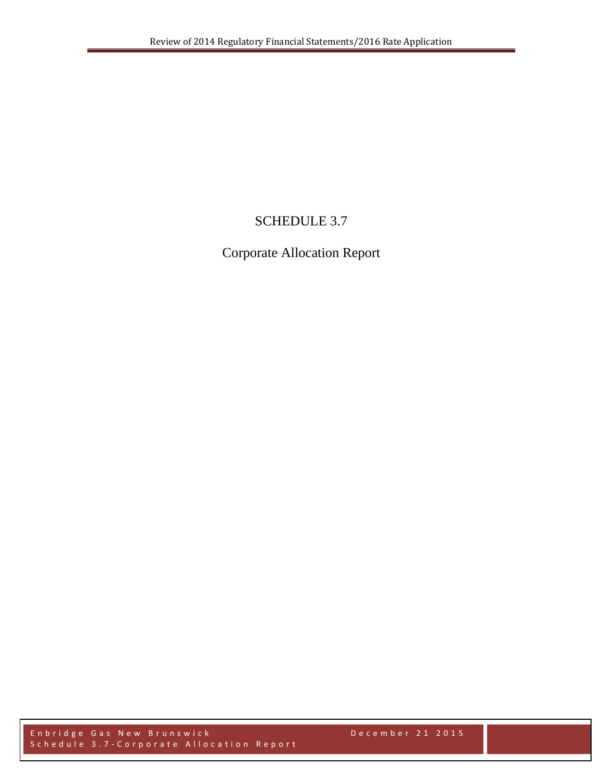# SCHEDULE 3.7

Corporate Allocation Report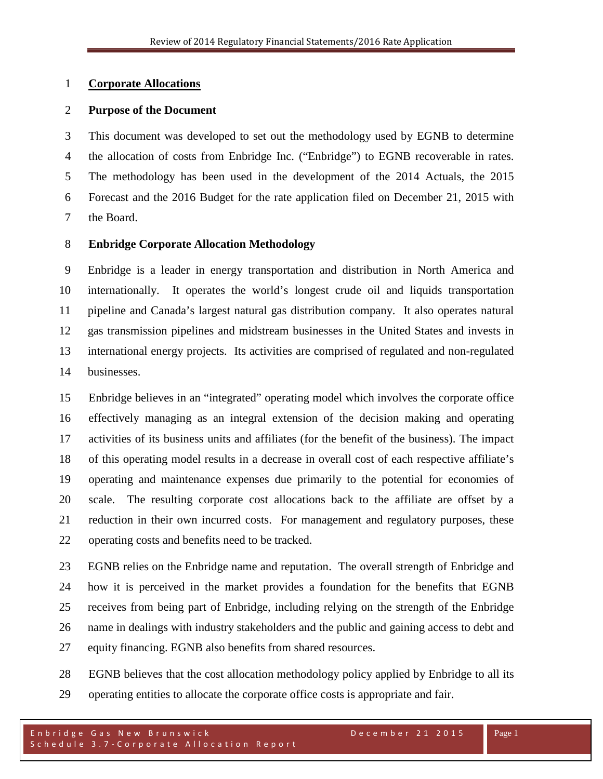### **Corporate Allocations**

### **Purpose of the Document**

 This document was developed to set out the methodology used by EGNB to determine the allocation of costs from Enbridge Inc. ("Enbridge") to EGNB recoverable in rates. The methodology has been used in the development of the 2014 Actuals, the 2015 Forecast and the 2016 Budget for the rate application filed on December 21, 2015 with the Board.

## **Enbridge Corporate Allocation Methodology**

 Enbridge is a leader in energy transportation and distribution in North America and internationally. It operates the world's longest crude oil and liquids transportation pipeline and Canada's largest natural gas distribution company. It also operates natural gas transmission pipelines and midstream businesses in the United States and invests in international energy projects. Its activities are comprised of regulated and non-regulated businesses.

 Enbridge believes in an "integrated" operating model which involves the corporate office effectively managing as an integral extension of the decision making and operating activities of its business units and affiliates (for the benefit of the business). The impact of this operating model results in a decrease in overall cost of each respective affiliate's operating and maintenance expenses due primarily to the potential for economies of scale. The resulting corporate cost allocations back to the affiliate are offset by a reduction in their own incurred costs. For management and regulatory purposes, these operating costs and benefits need to be tracked.

 EGNB relies on the Enbridge name and reputation. The overall strength of Enbridge and how it is perceived in the market provides a foundation for the benefits that EGNB receives from being part of Enbridge, including relying on the strength of the Enbridge name in dealings with industry stakeholders and the public and gaining access to debt and equity financing. EGNB also benefits from shared resources.

 EGNB believes that the cost allocation methodology policy applied by Enbridge to all its operating entities to allocate the corporate office costs is appropriate and fair.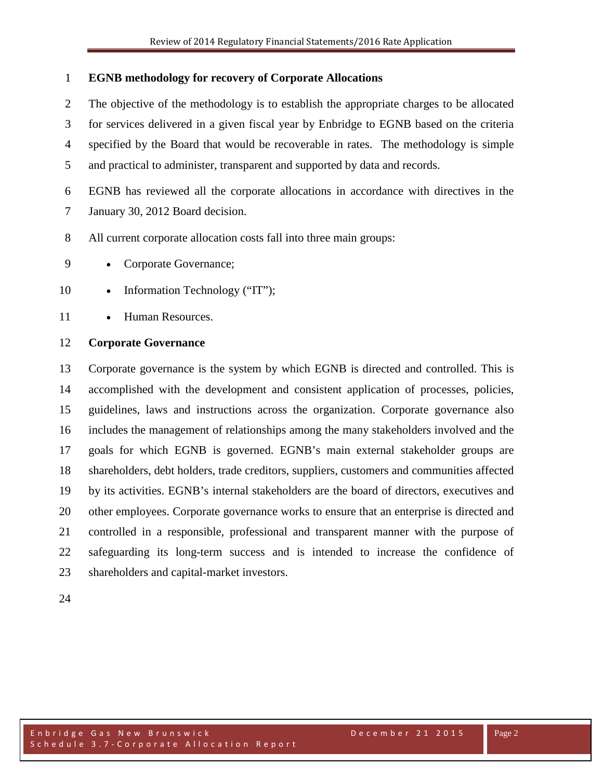## **EGNB methodology for recovery of Corporate Allocations**

 The objective of the methodology is to establish the appropriate charges to be allocated for services delivered in a given fiscal year by Enbridge to EGNB based on the criteria specified by the Board that would be recoverable in rates. The methodology is simple and practical to administer, transparent and supported by data and records.

EGNB has reviewed all the corporate allocations in accordance with directives in the

- January 30, 2012 Board decision.
- All current corporate allocation costs fall into three main groups:
- 9 Corporate Governance;
- 10 Information Technology ("IT");
- 11 Human Resources.

# **Corporate Governance**

 Corporate governance is the system by which EGNB is directed and controlled. This is accomplished with the development and consistent application of processes, policies, guidelines, laws and instructions across the organization. Corporate [governance](http://en.wikipedia.org/wiki/Governance) also includes the management of relationships among the many [stakeholders](http://en.wikipedia.org/wiki/Stakeholder_(corporate)) involved and the goals for which EGNB is governed. EGNB's main external stakeholder groups are shareholders, debt holders, trade [creditors,](http://en.wikipedia.org/wiki/Creditor) suppliers, customers and communities affected by its activities. EGNB's internal stakeholders are the [board of directors,](http://en.wikipedia.org/wiki/Board_of_directors) [executives](http://en.wikipedia.org/wiki/Executive_(management)) and other employees. Corporate governance works to ensure that an enterprise is directed and controlled in a responsible, professional and transparent manner with the purpose of safeguarding its long-term success and is intended to increase the confidence of shareholders and capital-market investors.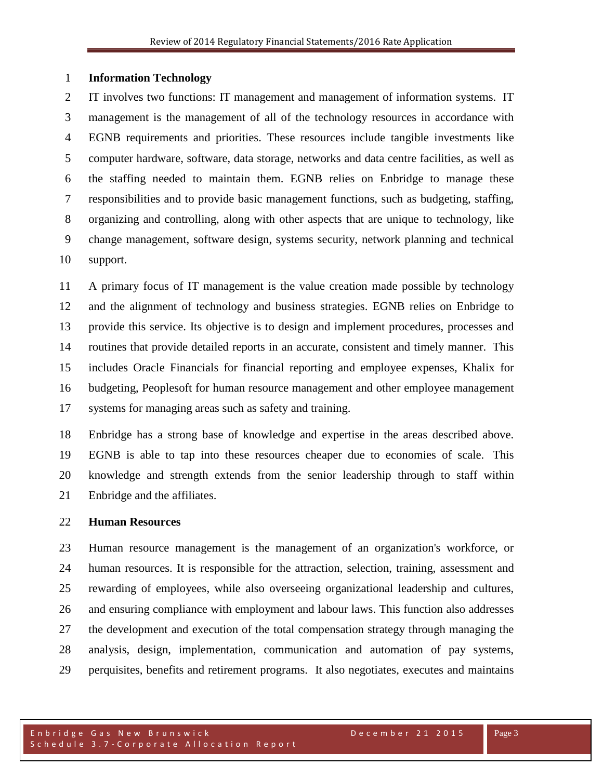#### **Information Technology**

 IT involves two functions: IT management and management of information systems. IT management is the management of all of the technology resources in accordance with EGNB requirements and priorities. These resources include tangible investments like computer hardware, software, data storage, networks and data centre facilities, as well as the staffing needed to maintain them. EGNB relies on Enbridge to manage these responsibilities and to provide basic management functions, such as [budgeting,](http://en.wikipedia.org/wiki/Budget) staffing, organizing and controlling, along with other aspects that are unique to technology, like change management, [software design,](http://en.wikipedia.org/wiki/Software_design) systems security, network planning and technical support.

 A primary focus of IT management is the value creation made possible by technology and the alignment of technology and business strategies. EGNB relies on Enbridge to provide this service. Its [objective](http://www.businessdictionary.com/definition/objective.html) is to [design](http://www.businessdictionary.com/definition/design.html) and implement [procedures,](http://www.businessdictionary.com/definition/procedure.html) processes and [routines](http://www.businessdictionary.com/definition/routine.html) that [provide](http://www.businessdictionary.com/definition/provide.html) [detailed](http://www.businessdictionary.com/definition/detailed.html) [reports](http://www.businessdictionary.com/definition/report.html) in an [accurate,](http://www.businessdictionary.com/definition/accurate.html) [consistent](http://www.businessdictionary.com/definition/consistent.html) and timely manner. This includes Oracle Financials for financial reporting and employee expenses, Khalix for budgeting, Peoplesoft for human resource management and other employee management systems for managing areas such as safety and training.

 Enbridge has a strong base of knowledge and expertise in the areas described above. EGNB is able to tap into these resources cheaper due to economies of scale. This knowledge and strength extends from the senior leadership through to staff within Enbridge and the affiliates.

#### **Human Resources**

 Human resource management is the [management](http://en.wikipedia.org/wiki/Management) of an [organization's](http://en.wikipedia.org/wiki/Organization) [workforce,](http://en.wikipedia.org/wiki/Workforce) or [human resources.](http://en.wikipedia.org/wiki/Human_resources) It is responsible for the [attraction,](http://en.wikipedia.org/wiki/Employer_branding) [selection,](http://en.wikipedia.org/wiki/Recruitment) [training,](http://en.wikipedia.org/wiki/Training_and_development) [assessment](http://en.wikipedia.org/wiki/Performance_appraisal) and [rewarding](http://en.wikipedia.org/wiki/Remuneration) of employees, while also overseeing organizational [leadership](http://en.wikipedia.org/wiki/Leadership) and [cultures](http://en.wikipedia.org/wiki/Organizational_culture), and ensuring compliance with [employment and labour laws.](http://en.wikipedia.org/wiki/Labour_law) This function also addresses the development and execution of the total compensation strategy through managing the analysis, design, implementation, communication and automation of pay systems, perquisites, benefits and retirement programs. It also negotiates, executes and maintains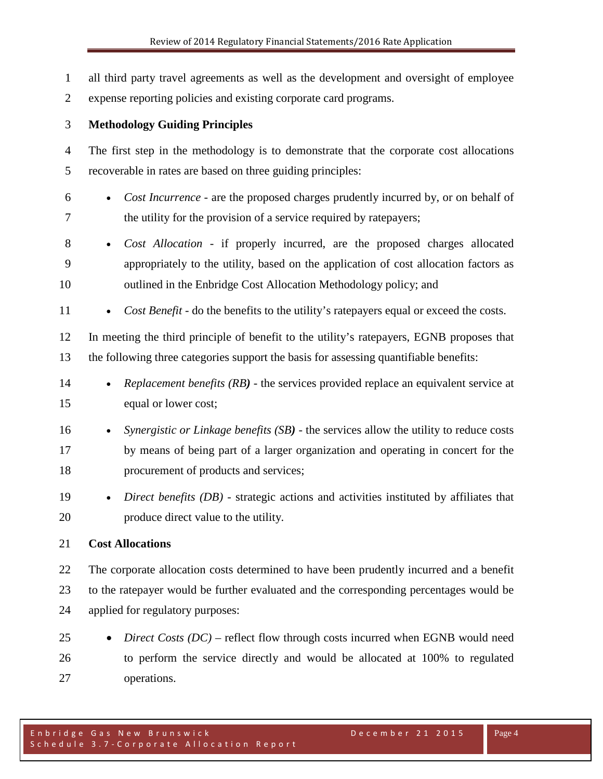all third party travel agreements as well as the development and oversight of employee expense reporting policies and existing corporate card programs. **Methodology Guiding Principles** The first step in the methodology is to demonstrate that the corporate cost allocations recoverable in rates are based on three guiding principles: • *Cost Incurrence* - are the proposed charges prudently incurred by, or on behalf of the utility for the provision of a service required by ratepayers; • *Cost Allocation* - if properly incurred, are the proposed charges allocated appropriately to the utility, based on the application of cost allocation factors as outlined in the Enbridge Cost Allocation Methodology policy; and 11 • *Cost Benefit* - do the benefits to the utility's ratepayers equal or exceed the costs. In meeting the third principle of benefit to the utility's ratepayers, EGNB proposes that the following three categories support the basis for assessing quantifiable benefits: • *Replacement benefits (RB)* - the services provided replace an equivalent service at equal or lower cost; • *Synergistic or Linkage benefits (SB)* - the services allow the utility to reduce costs by means of being part of a larger organization and operating in concert for the procurement of products and services; • *Direct benefits (DB)* - strategic actions and activities instituted by affiliates that produce direct value to the utility. **Cost Allocations** The corporate allocation costs determined to have been prudently incurred and a benefit to the ratepayer would be further evaluated and the corresponding percentages would be applied for regulatory purposes: • *Direct Costs (DC)* – reflect flow through costs incurred when EGNB would need to perform the service directly and would be allocated at 100% to regulated

Enbridge Gas New Brunswick December 21 2015 Schedule 3.7 - Corporate Allocation Report

operations.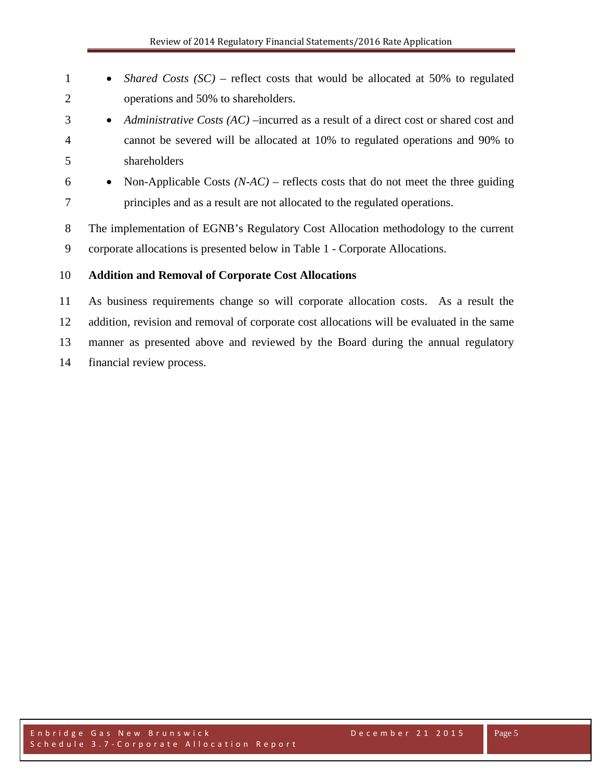| $\mathbf{1}$   | <i>Shared Costs (SC)</i> – reflect costs that would be allocated at 50% to regulated<br>$\bullet$  |
|----------------|----------------------------------------------------------------------------------------------------|
| $\overline{2}$ | operations and 50% to shareholders.                                                                |
| 3              | Administrative Costs $(AC)$ –incurred as a result of a direct cost or shared cost and<br>$\bullet$ |
| $\overline{4}$ | cannot be severed will be allocated at 10% to regulated operations and 90% to                      |
| 5              | shareholders                                                                                       |
| 6              | Non-Applicable Costs $(NAC)$ – reflects costs that do not meet the three guiding<br>$\bullet$      |
| 7              | principles and as a result are not allocated to the regulated operations.                          |
| 8              | The implementation of EGNB's Regulatory Cost Allocation methodology to the current                 |
| 9              | corporate allocations is presented below in Table 1 - Corporate Allocations.                       |
| 10             | <b>Addition and Removal of Corporate Cost Allocations</b>                                          |
| 11             | As business requirements change so will corporate allocation costs. As a result the                |
| 12             | addition, revision and removal of corporate cost allocations will be evaluated in the same         |
| 13             | manner as presented above and reviewed by the Board during the annual regulatory                   |

financial review process.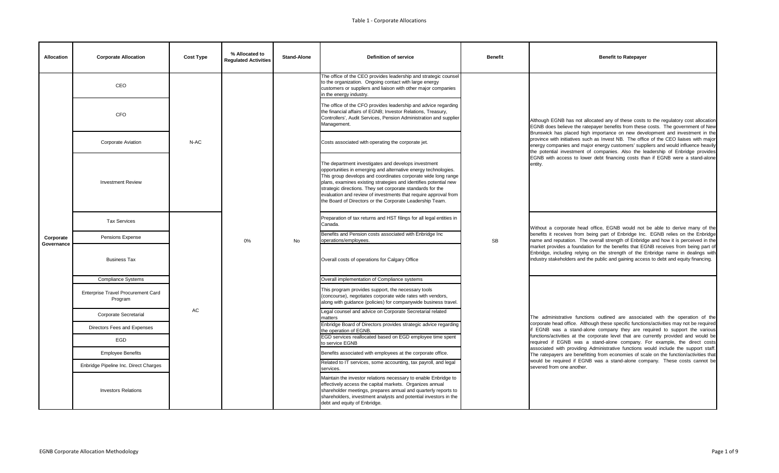| <b>Allocation</b>       | <b>Corporate Allocation</b>                          | <b>Cost Type</b> | % Allocated to<br><b>Regulated Activities</b> | <b>Stand-Alone</b> | <b>Definition of service</b>                                                                                                                                                                                                                                                                                                                                                                                                                            | <b>Benefit</b> | <b>Benefit to Ratepayer</b>                                                                                                                                                                                                                                                                                                                                                                                                                                                                                                     |
|-------------------------|------------------------------------------------------|------------------|-----------------------------------------------|--------------------|---------------------------------------------------------------------------------------------------------------------------------------------------------------------------------------------------------------------------------------------------------------------------------------------------------------------------------------------------------------------------------------------------------------------------------------------------------|----------------|---------------------------------------------------------------------------------------------------------------------------------------------------------------------------------------------------------------------------------------------------------------------------------------------------------------------------------------------------------------------------------------------------------------------------------------------------------------------------------------------------------------------------------|
|                         | CEO                                                  |                  |                                               |                    | The office of the CEO provides leadership and strategic counsel<br>to the organization. Ongoing contact with large energy<br>customers or suppliers and liaison with other major companies<br>in the energy industry.                                                                                                                                                                                                                                   |                |                                                                                                                                                                                                                                                                                                                                                                                                                                                                                                                                 |
|                         | <b>CFO</b>                                           |                  |                                               |                    | The office of the CFO provides leadership and advice regarding<br>the financial affairs of EGNB; Investor Relations, Treasury,<br>Controllers', Audit Services, Pension Administration and supplier<br>Management.                                                                                                                                                                                                                                      |                | Although EGNB has not allocated any of these costs to the regulatory cost allocation<br>EGNB does believe the ratepayer benefits from these costs. The government of New                                                                                                                                                                                                                                                                                                                                                        |
|                         | <b>Corporate Aviation</b>                            | N-AC             |                                               |                    | Costs associated with operating the corporate jet.                                                                                                                                                                                                                                                                                                                                                                                                      |                | Brunswick has placed high importance on new development and investment in the<br>province with initiatives such as Invest NB. The office of the CEO liaises with major<br>energy companies and major energy customers' suppliers and would influence heavily<br>the potential investment of companies. Also the leadership of Enbridge provides                                                                                                                                                                                 |
|                         | <b>Investment Review</b>                             |                  |                                               | <b>No</b>          | The department investigates and develops investment<br>opportunities in emerging and alternative energy technologies.<br>This group develops and coordinates corporate wide long range<br>plans, examines existing strategies and identifies potential new<br>strategic directions. They set corporate standards for the<br>evaluation and review of investments that require approval from<br>the Board of Directors or the Corporate Leadership Team. | <b>SB</b>      | EGNB with access to lower debt financing costs than if EGNB were a stand-alone<br>entity.                                                                                                                                                                                                                                                                                                                                                                                                                                       |
|                         | <b>Tax Services</b>                                  |                  |                                               |                    | Preparation of tax returns and HST filings for all legal entities in<br>Canada.                                                                                                                                                                                                                                                                                                                                                                         |                | Without a corporate head office, EGNB would not be able to derive many of the<br>benefits it receives from being part of Enbridge Inc. EGNB relies on the Enbridge<br>name and reputation. The overall strength of Enbridge and how it is perceived in the<br>market provides a foundation for the benefits that EGNB receives from being part of<br>Enbridge, including relying on the strength of the Enbridge name in dealings with<br>industry stakeholders and the public and gaining access to debt and equity financing. |
| Corporate<br>Governance | Pensions Expense                                     |                  | 0%                                            |                    | Benefits and Pension costs associated with Enbridge Inc<br>operations/employees.                                                                                                                                                                                                                                                                                                                                                                        |                |                                                                                                                                                                                                                                                                                                                                                                                                                                                                                                                                 |
|                         | <b>Business Tax</b>                                  |                  |                                               |                    | Overall costs of operations for Calgary Office                                                                                                                                                                                                                                                                                                                                                                                                          |                |                                                                                                                                                                                                                                                                                                                                                                                                                                                                                                                                 |
|                         | <b>Compliance Systems</b>                            |                  |                                               |                    | Overall implementation of Compliance systems                                                                                                                                                                                                                                                                                                                                                                                                            |                |                                                                                                                                                                                                                                                                                                                                                                                                                                                                                                                                 |
|                         | <b>Enterprise Travel Procurement Card</b><br>Program |                  |                                               |                    | This program provides support, the necessary tools<br>(concourse), negotiates corporate wide rates with vendors,<br>along with guidance (policies) for companywide business travel.                                                                                                                                                                                                                                                                     |                |                                                                                                                                                                                                                                                                                                                                                                                                                                                                                                                                 |
|                         | <b>Corporate Secretarial</b>                         | AC               |                                               |                    | Legal counsel and advice on Corporate Secretarial related<br>matters                                                                                                                                                                                                                                                                                                                                                                                    |                | The administrative functions outlined are associated with the operation of the                                                                                                                                                                                                                                                                                                                                                                                                                                                  |
|                         | Directors Fees and Expenses                          |                  |                                               |                    | Enbridge Board of Directors provides strategic advice regarding<br>the operation of EGNB.                                                                                                                                                                                                                                                                                                                                                               |                | corporate head office. Although these specific functions/activities may not be required<br>if EGNB was a stand-alone company they are required to support the various                                                                                                                                                                                                                                                                                                                                                           |
|                         | EGD                                                  |                  |                                               |                    | EGD services reallocated based on EGD employee time spent<br>to service EGNB                                                                                                                                                                                                                                                                                                                                                                            |                | functions/activities at the corporate level that are currently provided and would be<br>required if EGNB was a stand-alone company. For example, the direct costs                                                                                                                                                                                                                                                                                                                                                               |
|                         | <b>Employee Benefits</b>                             |                  |                                               |                    | Benefits associated with employees at the corporate office.                                                                                                                                                                                                                                                                                                                                                                                             |                | associated with providing Administrative functions would include the support staff.<br>The ratepayers are benefitting from economies of scale on the function/activities that                                                                                                                                                                                                                                                                                                                                                   |
|                         | Enbridge Pipeline Inc. Direct Charges                |                  |                                               |                    | Related to IT services, some accounting, tax payroll, and legal<br>services.                                                                                                                                                                                                                                                                                                                                                                            |                | would be required if EGNB was a stand-alone company. These costs cannot be<br>severed from one another.                                                                                                                                                                                                                                                                                                                                                                                                                         |
|                         | <b>Investors Relations</b>                           |                  |                                               |                    | Maintain the investor relations necessary to enable Enbridge to<br>effectively access the capital markets. Organizes annual<br>shareholder meetings, prepares annual and quarterly reports to<br>shareholders, investment analysts and potential investors in the<br>debt and equity of Enbridge.                                                                                                                                                       |                |                                                                                                                                                                                                                                                                                                                                                                                                                                                                                                                                 |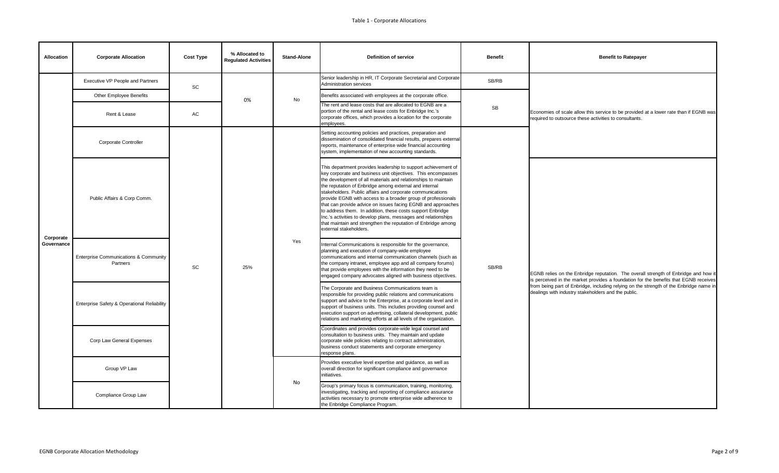| <b>Allocation</b>       | <b>Corporate Allocation</b>                                  | <b>Cost Type</b>             | % Allocated to<br><b>Regulated Activities</b> | <b>Stand-Alone</b> | <b>Definition of service</b>                                                                                                                                                                                                                                                                                                                                                                                                                                                                                                                                                                                                                                                      | <b>Benefit</b> | <b>Benefit to Ratepayer</b>                                                                                                                                                                                                     |
|-------------------------|--------------------------------------------------------------|------------------------------|-----------------------------------------------|--------------------|-----------------------------------------------------------------------------------------------------------------------------------------------------------------------------------------------------------------------------------------------------------------------------------------------------------------------------------------------------------------------------------------------------------------------------------------------------------------------------------------------------------------------------------------------------------------------------------------------------------------------------------------------------------------------------------|----------------|---------------------------------------------------------------------------------------------------------------------------------------------------------------------------------------------------------------------------------|
|                         | Executive VP People and Partners                             | $\operatorname{\textsf{SC}}$ |                                               |                    | Senior leadership in HR, IT Corporate Secretarial and Corporate<br><b>Administration services</b>                                                                                                                                                                                                                                                                                                                                                                                                                                                                                                                                                                                 | SB/RB          |                                                                                                                                                                                                                                 |
|                         | Other Employee Benefits                                      |                              | 0%                                            | No                 | Benefits associated with employees at the corporate office.                                                                                                                                                                                                                                                                                                                                                                                                                                                                                                                                                                                                                       |                |                                                                                                                                                                                                                                 |
|                         | Rent & Lease                                                 | AC                           |                                               |                    | The rent and lease costs that are allocated to EGNB are a<br>portion of the rental and lease costs for Enbridge Inc.'s<br>corporate offices, which provides a location for the corporate<br>employees.                                                                                                                                                                                                                                                                                                                                                                                                                                                                            | <b>SB</b>      | Economies of scale allow this service to be provided a<br>required to outsource these activities to consultants.                                                                                                                |
|                         | Corporate Controller                                         |                              |                                               |                    | Setting accounting policies and practices, preparation and<br>dissemination of consolidated financial results, prepares external<br>reports, maintenance of enterprise wide financial accounting<br>system, implementation of new accounting standards.                                                                                                                                                                                                                                                                                                                                                                                                                           |                |                                                                                                                                                                                                                                 |
| Corporate<br>Governance | Public Affairs & Corp Comm.                                  | <b>SC</b>                    |                                               | Yes                | This department provides leadership to support achievement of<br>key corporate and business unit objectives. This encompasses<br>the development of all materials and relationships to maintain<br>the reputation of Enbridge among external and internal<br>stakeholders. Public affairs and corporate communications<br>provide EGNB with access to a broader group of professionals<br>that can provide advice on issues facing EGNB and approaches<br>to address them. In addition, these costs support Enbridge<br>Inc.'s activities to develop plans, messages and relationships<br>that maintain and strengthen the reputation of Enbridge among<br>external stakeholders. | SB/RB          | EGNB relies on the Enbridge reputation. The overall<br>is perceived in the market provides a foundation for t<br>from being part of Enbridge, including relying on the s<br>dealings with industry stakeholders and the public. |
|                         | <b>Enterprise Communications &amp; Community</b><br>Partners |                              | 25%                                           |                    | Internal Communications is responsible for the governance,<br>planning and execution of company-wide employee<br>communications and internal communication channels (such as<br>the company intranet, employee app and all company forums)<br>that provide employees with the information they need to be<br>engaged company advocates aligned with business objectives.                                                                                                                                                                                                                                                                                                          |                |                                                                                                                                                                                                                                 |
|                         | Enterprise Safety & Operational Reliability                  |                              |                                               |                    | The Corporate and Business Communications team is<br>responsible for providing public relations and communications<br>support and advice to the Enterprise, at a corporate level and in<br>support of business units. This includes providing counsel and<br>execution support on advertising, collateral development, public<br>relations and marketing efforts at all levels of the organization.                                                                                                                                                                                                                                                                               |                |                                                                                                                                                                                                                                 |
|                         | Corp Law General Expenses                                    |                              |                                               |                    | Coordinates and provides corporate-wide legal counsel and<br>consultation to business units. They maintain and update<br>corporate wide policies relating to contract administration,<br>business conduct statements and corporate emergency<br>response plans.                                                                                                                                                                                                                                                                                                                                                                                                                   |                |                                                                                                                                                                                                                                 |
|                         | Group VP Law                                                 |                              |                                               | No                 | Provides executive level expertise and guidance, as well as<br>overall direction for significant compliance and governance<br>initiatives.                                                                                                                                                                                                                                                                                                                                                                                                                                                                                                                                        |                |                                                                                                                                                                                                                                 |
|                         | Compliance Group Law                                         |                              |                                               |                    | Group's primary focus is communication, training, monitoring,<br>investigating, tracking and reporting of compliance assurance<br>activities necessary to promote enterprise wide adherence to<br>the Enbridge Compliance Program.                                                                                                                                                                                                                                                                                                                                                                                                                                                |                |                                                                                                                                                                                                                                 |

| <b>Benefit</b> | <b>Benefit to Ratepayer</b>                                                                                                                                                                                                                                                                                                  |
|----------------|------------------------------------------------------------------------------------------------------------------------------------------------------------------------------------------------------------------------------------------------------------------------------------------------------------------------------|
| SB/RB          |                                                                                                                                                                                                                                                                                                                              |
| SB             | Economies of scale allow this service to be provided at a lower rate than if EGNB was<br>required to outsource these activities to consultants.                                                                                                                                                                              |
|                |                                                                                                                                                                                                                                                                                                                              |
| SB/RB          | EGNB relies on the Enbridge reputation. The overall strength of Enbridge and how it<br>is perceived in the market provides a foundation for the benefits that EGNB receives<br>from being part of Enbridge, including relying on the strength of the Enbridge name in<br>dealings with industry stakeholders and the public. |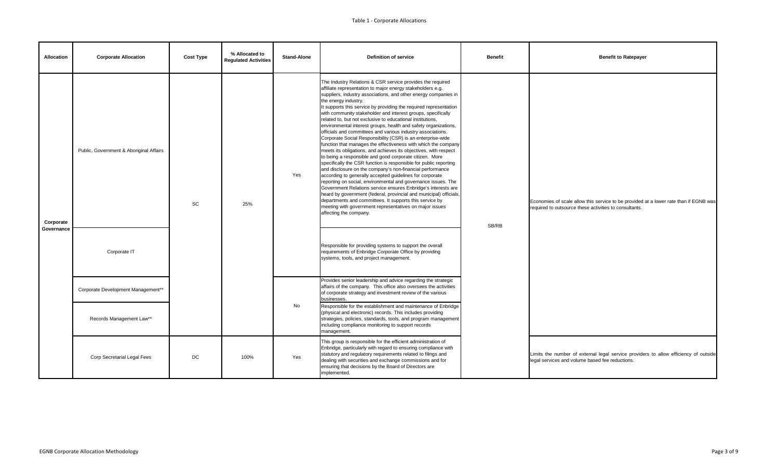| <b>Allocation</b>       | <b>Corporate Allocation</b>             | <b>Cost Type</b> | % Allocated to<br><b>Regulated Activities</b> | <b>Stand-Alone</b> | <b>Definition of service</b>                                                                                                                                                                                                                                                                                                                                                                                                                                                                                                                                                                                                                                                                                                                                                                                                                                                                                                                                                                                                                                                                                                                                                                                                                                                                                                                                                   | <b>Benefit</b> | <b>Benefit to Ratepayer</b>                                                                                      |
|-------------------------|-----------------------------------------|------------------|-----------------------------------------------|--------------------|--------------------------------------------------------------------------------------------------------------------------------------------------------------------------------------------------------------------------------------------------------------------------------------------------------------------------------------------------------------------------------------------------------------------------------------------------------------------------------------------------------------------------------------------------------------------------------------------------------------------------------------------------------------------------------------------------------------------------------------------------------------------------------------------------------------------------------------------------------------------------------------------------------------------------------------------------------------------------------------------------------------------------------------------------------------------------------------------------------------------------------------------------------------------------------------------------------------------------------------------------------------------------------------------------------------------------------------------------------------------------------|----------------|------------------------------------------------------------------------------------------------------------------|
| Corporate<br>Governance | Public, Government & Aboriginal Affairs | <b>SC</b>        | 25%                                           | Yes                | The Industry Relations & CSR service provides the required<br>affiliate representation to major energy stakeholders e.g.<br>suppliers, industry associations, and other energy companies in<br>the energy industry.<br>It supports this service by providing the required representation<br>with community stakeholder and interest groups, specifically<br>related to, but not exclusive to educational institutions,<br>environmental interest groups, health and safety organizations,<br>officials and committees and various industry associations.<br>Corporate Social Responsibility (CSR) is an enterprise-wide<br>function that manages the effectiveness with which the company<br>meets its obligations, and achieves its objectives, with respect<br>to being a responsible and good corporate citizen. More<br>specifically the CSR function is responsible for public reporting<br>and disclosure on the company's non-financial performance<br>according to generally accepted guidelines for corporate<br>reporting on social, environmental and governance issues. The<br>Government Relations service ensures Enbridge's interests are<br>heard by government (federal, provincial and municipal) officials,<br>departments and committees. It supports this service by<br>meeting with government representatives on major issues<br>affecting the company. | SB/RB          | Economies of scale allow this service to be provided a<br>required to outsource these activities to consultants. |
|                         | Corporate IT                            |                  |                                               |                    | Responsible for providing systems to support the overall<br>requirements of Enbridge Corporate Office by providing<br>systems, tools, and project management.                                                                                                                                                                                                                                                                                                                                                                                                                                                                                                                                                                                                                                                                                                                                                                                                                                                                                                                                                                                                                                                                                                                                                                                                                  |                |                                                                                                                  |
|                         | Corporate Development Management**      |                  |                                               |                    | Provides senior leadership and advice regarding the strategic<br>affairs of the company. This office also oversees the activities<br>of corporate strategy and investment review of the various<br>businesses.                                                                                                                                                                                                                                                                                                                                                                                                                                                                                                                                                                                                                                                                                                                                                                                                                                                                                                                                                                                                                                                                                                                                                                 |                |                                                                                                                  |
|                         | Records Management Law**                |                  |                                               | No                 | Responsible for the establishment and maintenance of Enbridge<br>(physical and electronic) records. This includes providing<br>strategies, policies, standards, tools, and program management<br>including compliance monitoring to support records<br>management.                                                                                                                                                                                                                                                                                                                                                                                                                                                                                                                                                                                                                                                                                                                                                                                                                                                                                                                                                                                                                                                                                                             |                |                                                                                                                  |
|                         | Corp Secretarial Legal Fees             | DC               | 100%                                          | Yes                | This group is responsible for the efficient administration of<br>Enbridge, particularly with regard to ensuring compliance with<br>statutory and regulatory requirements related to filings and<br>dealing with securities and exchange commissions and for<br>ensuring that decisions by the Board of Directors are<br>implemented.                                                                                                                                                                                                                                                                                                                                                                                                                                                                                                                                                                                                                                                                                                                                                                                                                                                                                                                                                                                                                                           |                | Limits the number of external legal service provider<br>legal services and volume based fee reductions.          |

| <b>Benefit</b> | <b>Benefit to Ratepayer</b>                                                                                                                     |
|----------------|-------------------------------------------------------------------------------------------------------------------------------------------------|
| SB/RB          | Economies of scale allow this service to be provided at a lower rate than if EGNB was<br>required to outsource these activities to consultants. |
|                | Limits the number of external legal service providers to allow efficiency of outside<br>legal services and volume based fee reductions.         |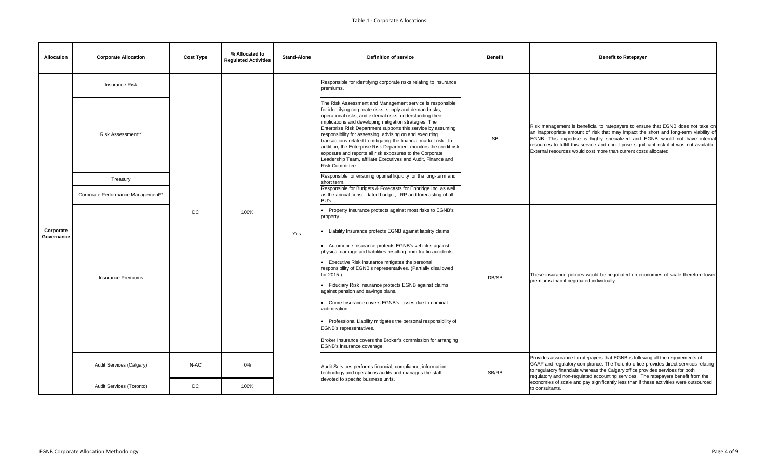| <b>Allocation</b>       | <b>Corporate Allocation</b>        | <b>Cost Type</b> | % Allocated to<br><b>Regulated Activities</b> | <b>Stand-Alone</b> | <b>Definition of service</b>                                                                                                                                                                                                                                                                                                                                                                                                                                                                                                                                                                                                                                                                                                                                                   | <b>Benefit</b> | <b>Benefit to Ratepayer</b>                                                                                                                                                                                                                                                         |
|-------------------------|------------------------------------|------------------|-----------------------------------------------|--------------------|--------------------------------------------------------------------------------------------------------------------------------------------------------------------------------------------------------------------------------------------------------------------------------------------------------------------------------------------------------------------------------------------------------------------------------------------------------------------------------------------------------------------------------------------------------------------------------------------------------------------------------------------------------------------------------------------------------------------------------------------------------------------------------|----------------|-------------------------------------------------------------------------------------------------------------------------------------------------------------------------------------------------------------------------------------------------------------------------------------|
|                         | <b>Insurance Risk</b>              |                  |                                               |                    | Responsible for identifying corporate risks relating to insurance<br>premiums.                                                                                                                                                                                                                                                                                                                                                                                                                                                                                                                                                                                                                                                                                                 |                |                                                                                                                                                                                                                                                                                     |
|                         | Risk Assessment**                  |                  |                                               |                    | The Risk Assessment and Management service is responsible<br>for identifying corporate risks, supply and demand risks,<br>operational risks, and external risks, understanding their<br>implications and developing mitigation strategies. The<br>Enterprise Risk Department supports this service by assuming<br>responsibility for assessing, advising on and executing<br>transactions related to mitigating the financial market risk. In<br>addition, the Enterprise Risk Department monitors the credit risk<br>exposure and reports all risk exposures to the Corporate<br>Leadership Team, affiliate Executives and Audit, Finance and<br>Risk Committee.                                                                                                              | SB             | Risk management is beneficial to ratepayers to ensu<br>an inappropriate amount of risk that may impact the<br>EGNB. This expertise is highly specialized and E<br>resources to fulfill this service and could pose signifi<br>External resources would cost more than current costs |
|                         | Treasury                           |                  |                                               |                    | Responsible for ensuring optimal liquidity for the long-term and<br>short term.                                                                                                                                                                                                                                                                                                                                                                                                                                                                                                                                                                                                                                                                                                |                |                                                                                                                                                                                                                                                                                     |
|                         | Corporate Performance Management** |                  |                                               |                    | Responsible for Budgets & Forecasts for Enbridge Inc. as well<br>as the annual consolidated budget, LRP and forecasting of all<br>BU's.                                                                                                                                                                                                                                                                                                                                                                                                                                                                                                                                                                                                                                        |                |                                                                                                                                                                                                                                                                                     |
| Corporate<br>Governance | <b>Insurance Premiums</b>          | DC               | 100%                                          | Yes                | Property Insurance protects against most risks to EGNB's<br>property.<br>Liability Insurance protects EGNB against liability claims.<br>Automobile Insurance protects EGNB's vehicles against<br>physical damage and liabilities resulting from traffic accidents.<br>Executive Risk insurance mitigates the personal<br>responsibility of EGNB's representatives. (Partially disallowed<br>for 2015.)<br>• Fiduciary Risk Insurance protects EGNB against claims<br>against pension and savings plans.<br>Crime Insurance covers EGNB's losses due to criminal<br>victimization.<br>Professional Liability mitigates the personal responsibility of<br>EGNB's representatives.<br>Broker Insurance covers the Broker's commission for arranging<br>EGNB's insurance coverage. | DB/SB          | These insurance policies would be negotiated on eco<br>premiums than if negotiated individually.                                                                                                                                                                                    |
|                         | Audit Services (Calgary)           | N-AC             | 0%                                            |                    | Audit Services performs financial, compliance, information<br>technology and operations audits and manages the staff                                                                                                                                                                                                                                                                                                                                                                                                                                                                                                                                                                                                                                                           | SB/RB          | Provides assurance to ratepayers that EGNB is follow<br>GAAP and regulatory compliance. The Toronto office<br>to regulatory financials whereas the Calgary office pro<br>regulatory and non-regulated accounting services. Th                                                       |
|                         | Audit Services (Toronto)           | DC               | 100%                                          |                    | devoted to specific business units.                                                                                                                                                                                                                                                                                                                                                                                                                                                                                                                                                                                                                                                                                                                                            |                | economies of scale and pay significantly less than if th<br>to consultants.                                                                                                                                                                                                         |

| <b>Benefit</b> | <b>Benefit to Ratepayer</b>                                                                                                                                                                                                                                                                                                                                                                                                                                 |
|----------------|-------------------------------------------------------------------------------------------------------------------------------------------------------------------------------------------------------------------------------------------------------------------------------------------------------------------------------------------------------------------------------------------------------------------------------------------------------------|
| <b>SB</b>      | Risk management is beneficial to ratepayers to ensure that EGNB does not take on<br>an inappropriate amount of risk that may impact the short and long-term viability of<br>EGNB. This expertise is highly specialized and EGNB would not have internal<br>resources to fulfill this service and could pose significant risk if it was not available.<br>External resources would cost more than current costs allocated.                                   |
| DB/SB          | These insurance policies would be negotiated on economies of scale therefore lower<br>premiums than if negotiated individually.                                                                                                                                                                                                                                                                                                                             |
| SB/RB          | Provides assurance to ratepayers that EGNB is following all the requirements of<br>GAAP and regulatory compliance. The Toronto office provides direct services relating<br>to regulatory financials whereas the Calgary office provides services for both<br>regulatory and non-regulated accounting services. The ratepayers benefit from the<br>economies of scale and pay significantly less than if these activities were outsourced<br>to consultants. |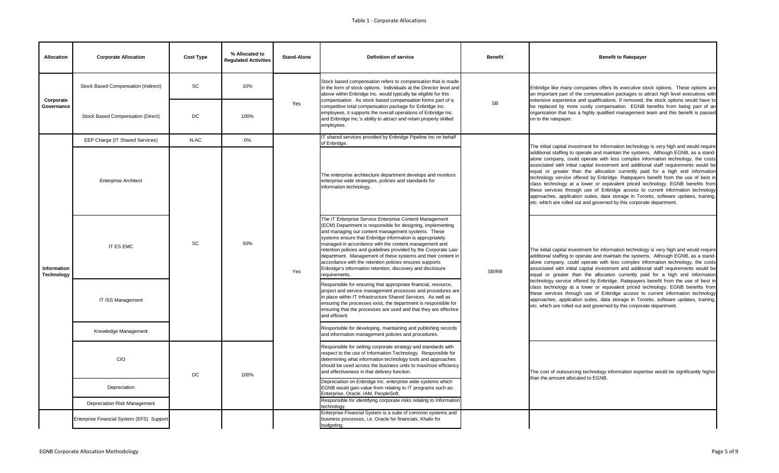| <b>Allocation</b>         | <b>Corporate Allocation</b>               | <b>Cost Type</b> | % Allocated to<br><b>Regulated Activities</b> | <b>Stand-Alone</b> | <b>Definition of service</b>                                                                                                                                                                                                                                                                                                                                                                                                                                                                                                                                                    | <b>Benefit</b> | <b>Benefit to Ratepayer</b>                                                                                                                                                                                                                                                                                                                                                                                                                                                                                                                                                                                                                                                                                                                                                                                                                                                |
|---------------------------|-------------------------------------------|------------------|-----------------------------------------------|--------------------|---------------------------------------------------------------------------------------------------------------------------------------------------------------------------------------------------------------------------------------------------------------------------------------------------------------------------------------------------------------------------------------------------------------------------------------------------------------------------------------------------------------------------------------------------------------------------------|----------------|----------------------------------------------------------------------------------------------------------------------------------------------------------------------------------------------------------------------------------------------------------------------------------------------------------------------------------------------------------------------------------------------------------------------------------------------------------------------------------------------------------------------------------------------------------------------------------------------------------------------------------------------------------------------------------------------------------------------------------------------------------------------------------------------------------------------------------------------------------------------------|
| Corporate                 | Stock Based Compensation (Indirect)       | <b>SC</b>        | 10%                                           |                    | Stock based compensation refers to compensation that is made<br>in the form of stock options. Individuals at the Director level and<br>above within Enbridge Inc. would typically be eligible for this<br>compensation. As stock based compensation forms part of a                                                                                                                                                                                                                                                                                                             |                | Enbridge like many companies offers its executive stock options. These options are<br>an important part of the compensation packages to attract high level executives with<br>extensive experience and qualifications. If removed, the stock options would have to                                                                                                                                                                                                                                                                                                                                                                                                                                                                                                                                                                                                         |
| Governance                | <b>Stock Based Compensation (Direct)</b>  | DC               | 100%                                          | Yes                | competitive total compensation package for Enbridge Inc.<br>employees, it supports the overall operations of Enbridge Inc.<br>and Enbridge Inc.'s ability to attract and retain properly skilled<br>employees.                                                                                                                                                                                                                                                                                                                                                                  | ${\sf SB}$     | be replaced by more costly compensation. EGNB benefits from being part of an<br>organization that has a highly qualified management team and this benefit is passed<br>on to the ratepayer.                                                                                                                                                                                                                                                                                                                                                                                                                                                                                                                                                                                                                                                                                |
|                           | EEP Charge (IT Shared Services)           | N-AC             | 0%                                            |                    | T shared services provided by Enbridge Pipeline Inc on behalf<br>of Enbridge.                                                                                                                                                                                                                                                                                                                                                                                                                                                                                                   |                | The initial capital investment for information technology is very high and would require                                                                                                                                                                                                                                                                                                                                                                                                                                                                                                                                                                                                                                                                                                                                                                                   |
| Information<br>Technology | <b>Enterprise Architect</b>               |                  |                                               | Yes                | The enterprise architecture department develops and monitors<br>enterprise wide strategies, policies and standards for<br>information technology.                                                                                                                                                                                                                                                                                                                                                                                                                               | SB/RB          | additional staffing to operate and maintain the systems. Although EGNB, as a stand-<br>alone company, could operate with less complex information technology, the costs<br>associated with initial capital investment and additional staff requirements would be<br>equal or greater than the allocation currently paid for a high end information<br>technology service offered by Enbridge. Ratepayers benefit from the use of best in<br>class technology at a lower or equivalent priced technology. EGNB benefits from<br>these services through use of Enbridge access to current information technology<br>approaches, application suites, data storage in Toronto, software updates, training,<br>etc. which are rolled out and governed by this corporate department.                                                                                             |
|                           | IT ES EMC                                 | <b>SC</b>        | 50%                                           |                    | The IT Enterprise Service Enterprise Content Management<br>(ECM) Department is responsible for designing, implementing<br>and managing our content management systems. These<br>systems ensure that Enbridge information is appropriately<br>managed in accordance with the content management and<br>retention policies and guidelines provided by the Corporate Law<br>department. Management of these systems and their content in<br>accordance with the retention policies ensures supports<br>Enbridge's information retention, discovery and disclosure<br>requirements. |                | The initial capital investment for information technology is very high and would require<br>additional staffing to operate and maintain the systems. Although EGNB, as a stand-<br>alone company, could operate with less complex information technology, the costs<br>associated with initial capital investment and additional staff requirements would be<br>equal or greater than the allocation currently paid for a high end information<br>technology service offered by Enbridge. Ratepayers benefit from the use of best in<br>class technology at a lower or equivalent priced technology. EGNB benefits from<br>these services through use of Enbridge access to current information technology<br>approaches, application suites, data storage in Toronto, software updates, training,<br>etc. which are rolled out and governed by this corporate department. |
|                           | <b>IT ISS Management</b>                  |                  |                                               |                    | Responsible for ensuring that appropriate financial, resource,<br>project and service management processes and procedures are<br>in place within IT Infrastructure Shared Services. As well as<br>ensuring the processes exist, the department is responsible for<br>ensuring that the processes are used and that they are effective<br>and efficient                                                                                                                                                                                                                          |                |                                                                                                                                                                                                                                                                                                                                                                                                                                                                                                                                                                                                                                                                                                                                                                                                                                                                            |
|                           | Knowledge Management                      |                  |                                               |                    | Responsible for developing, maintaining and publishing records<br>and information management policies and procedures.                                                                                                                                                                                                                                                                                                                                                                                                                                                           |                |                                                                                                                                                                                                                                                                                                                                                                                                                                                                                                                                                                                                                                                                                                                                                                                                                                                                            |
|                           | CIO                                       | DC               | 100%                                          |                    | Responsible for setting corporate strategy and standards with<br>respect to the use of Information Technology. Responsible for<br>determining what information technology tools and approaches<br>should be used across the business units to maximize efficiency<br>and effectiveness in that delivery function.                                                                                                                                                                                                                                                               |                | The cost of outsourcing technology information expertise would be significantly higher<br>than the amount allocated to EGNB.                                                                                                                                                                                                                                                                                                                                                                                                                                                                                                                                                                                                                                                                                                                                               |
|                           | Depreciation                              |                  |                                               |                    | Depreciation on Enbridge Inc. enterprise wide systems which<br>EGNB would gain value from relating to IT programs such as:<br>Enterprise, Oracle, IAM, PeopleSoft.                                                                                                                                                                                                                                                                                                                                                                                                              |                |                                                                                                                                                                                                                                                                                                                                                                                                                                                                                                                                                                                                                                                                                                                                                                                                                                                                            |
|                           | Depreciation Risk Management              |                  |                                               |                    | Responsible for identifying corporate risks relating to Information<br>technology.                                                                                                                                                                                                                                                                                                                                                                                                                                                                                              |                |                                                                                                                                                                                                                                                                                                                                                                                                                                                                                                                                                                                                                                                                                                                                                                                                                                                                            |
|                           | Enterprise Financial System (EFS) Support |                  |                                               |                    | Enterprise Financial System is a suite of common systems and<br>business processes, i.e. Oracle for financials, Khalix for<br>budgeting.                                                                                                                                                                                                                                                                                                                                                                                                                                        |                |                                                                                                                                                                                                                                                                                                                                                                                                                                                                                                                                                                                                                                                                                                                                                                                                                                                                            |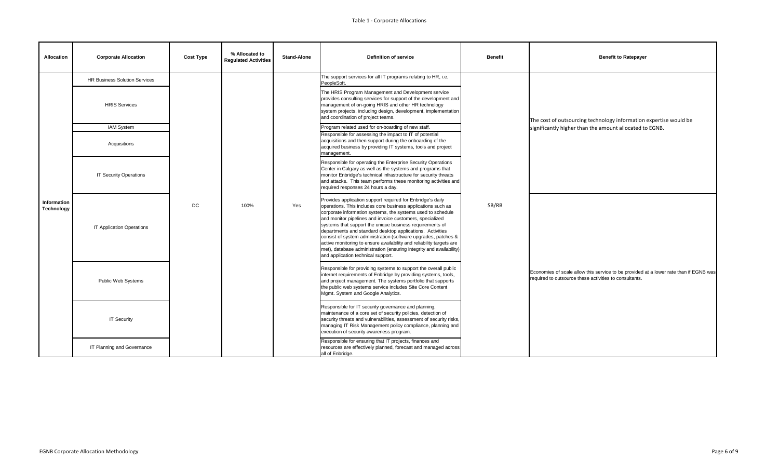| <b>Allocation</b>                | <b>Corporate Allocation</b>          | <b>Cost Type</b> | % Allocated to<br><b>Regulated Activities</b> | <b>Stand-Alone</b> | <b>Definition of service</b>                                                                                                                                                                                                                                                                                                                                                                                                                                                                                                                                                                                                          | <b>Benefit</b> | <b>Benefit to Ratepayer</b>                                                                                      |
|----------------------------------|--------------------------------------|------------------|-----------------------------------------------|--------------------|---------------------------------------------------------------------------------------------------------------------------------------------------------------------------------------------------------------------------------------------------------------------------------------------------------------------------------------------------------------------------------------------------------------------------------------------------------------------------------------------------------------------------------------------------------------------------------------------------------------------------------------|----------------|------------------------------------------------------------------------------------------------------------------|
|                                  | <b>HR Business Solution Services</b> |                  |                                               |                    | The support services for all IT programs relating to HR, i.e.<br>PeopleSoft.                                                                                                                                                                                                                                                                                                                                                                                                                                                                                                                                                          |                |                                                                                                                  |
|                                  | <b>HRIS Services</b>                 |                  |                                               |                    | The HRIS Program Management and Development service<br>provides consulting services for support of the development and<br>management of on-going HRIS and other HR technology<br>system projects, including design, development, implementation<br>and coordination of project teams.                                                                                                                                                                                                                                                                                                                                                 |                | The cost of outsourcing technology information                                                                   |
|                                  | IAM System                           |                  |                                               |                    | Program related used for on-boarding of new staff.                                                                                                                                                                                                                                                                                                                                                                                                                                                                                                                                                                                    |                | significantly higher than the amount allocated to                                                                |
|                                  | Acquisitions                         |                  |                                               |                    | Responsible for assessing the impact to IT of potential<br>acquisitions and then support during the onboarding of the<br>acquired business by providing IT systems, tools and project<br>management.                                                                                                                                                                                                                                                                                                                                                                                                                                  |                |                                                                                                                  |
|                                  | <b>IT Security Operations</b>        |                  |                                               |                    | Responsible for operating the Enterprise Security Operations<br>Center in Calgary as well as the systems and programs that<br>monitor Enbridge's technical infrastructure for security threats<br>and attacks. This team performs these monitoring activities and<br>required responses 24 hours a day.                                                                                                                                                                                                                                                                                                                               |                |                                                                                                                  |
| Information<br><b>Technology</b> | <b>IT Application Operations</b>     | DC               | 100%                                          | Yes                | Provides application support required for Enbridge's daily<br>operations. This includes core business applications such as<br>corporate information systems, the systems used to schedule<br>and monitor pipelines and invoice customers, specialized<br>systems that support the unique business requirements of<br>departments and standard desktop applications. Activities<br>consist of system administration (software upgrades, patches &<br>active monitoring to ensure availability and reliability targets are<br>met), database administration (ensuring integrity and availability)<br>and application technical support. | SB/RB          | Economies of scale allow this service to be provided a<br>required to outsource these activities to consultants. |
|                                  | Public Web Systems                   |                  |                                               |                    | Responsible for providing systems to support the overall public<br>internet requirements of Enbridge by providing systems, tools,<br>and project management. The systems portfolio that supports<br>the public web systems service includes Site Core Content<br>Mgmt. System and Google Analytics.                                                                                                                                                                                                                                                                                                                                   |                |                                                                                                                  |
|                                  | <b>IT Security</b>                   |                  |                                               |                    | Responsible for IT security governance and planning,<br>maintenance of a core set of security policies, detection of<br>security threats and vulnerabilities, assessment of security risks,<br>managing IT Risk Management policy compliance, planning and<br>execution of security awareness program.                                                                                                                                                                                                                                                                                                                                |                |                                                                                                                  |
|                                  | IT Planning and Governance           |                  |                                               |                    | Responsible for ensuring that IT projects, finances and<br>resources are effectively planned, forecast and managed across<br>all of Enbridge.                                                                                                                                                                                                                                                                                                                                                                                                                                                                                         |                |                                                                                                                  |

| <b>Benefit</b> | <b>Benefit to Ratepayer</b>                                                                                                                     |
|----------------|-------------------------------------------------------------------------------------------------------------------------------------------------|
|                | The cost of outsourcing technology information expertise would be<br>significantly higher than the amount allocated to EGNB.                    |
| SB/RB          | Economies of scale allow this service to be provided at a lower rate than if EGNB was<br>required to outsource these activities to consultants. |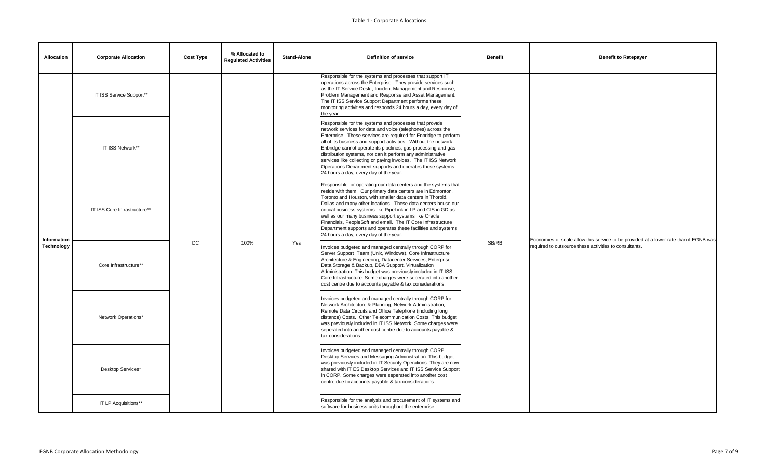| <b>Allocation</b>                | <b>Corporate Allocation</b>  | <b>Cost Type</b> | % Allocated to<br><b>Regulated Activities</b> | <b>Stand-Alone</b> | <b>Definition of service</b>                                                                                                                                                                                                                                                                                                                                                                                                                                                                                                                                          | <b>Benefit</b> | <b>Benefit to Ratepayer</b>                                                                                      |
|----------------------------------|------------------------------|------------------|-----------------------------------------------|--------------------|-----------------------------------------------------------------------------------------------------------------------------------------------------------------------------------------------------------------------------------------------------------------------------------------------------------------------------------------------------------------------------------------------------------------------------------------------------------------------------------------------------------------------------------------------------------------------|----------------|------------------------------------------------------------------------------------------------------------------|
|                                  | IT ISS Service Support**     | DC               | 100%                                          |                    | Responsible for the systems and processes that support IT<br>operations across the Enterprise. They provide services such<br>as the IT Service Desk, Incident Management and Response,<br>Problem Management and Response and Asset Management.<br>The IT ISS Service Support Department performs these<br>monitoring activities and responds 24 hours a day, every day of<br>the year.                                                                                                                                                                               |                | Economies of scale allow this service to be provided a<br>required to outsource these activities to consultants. |
| Information<br><b>Technology</b> | IT ISS Network**             |                  |                                               | Yes                | Responsible for the systems and processes that provide<br>network services for data and voice (telephones) across the<br>Enterprise. These services are required for Enbridge to perform<br>all of its business and support activities. Without the network<br>Enbridge cannot operate its pipelines, gas processing and gas<br>distribution systems, nor can it perform any administrative<br>services like collecting or paying invoices. The IT ISS Network<br>Operations Department supports and operates these systems<br>24 hours a day, every day of the year. | SB/RB          |                                                                                                                  |
|                                  | IT ISS Core Infrastructure** |                  |                                               |                    | Responsible for operating our data centers and the systems that<br>reside with them. Our primary data centers are in Edmonton,<br>Toronto and Houston, with smaller data centers in Thorold,<br>Dallas and many other locations. These data centers house our<br>critical business systems like PipeLink in LP and CIS in GD as<br>well as our many business support systems like Oracle<br>Financials, PeopleSoft and email. The IT Core Infrastructure<br>Department supports and operates these facilities and systems<br>24 hours a day, every day of the year.   |                |                                                                                                                  |
|                                  | Core Infrastructure**        |                  |                                               |                    | Invoices budgeted and managed centrally through CORP for<br>Server Support Team (Unix, Windows), Core Infrastructure<br>Architecture & Engineering, Datacenter Services, Enterprise<br>Data Storage & Backup, DBA Support, Virtualization<br>Administration. This budget was previously included in IT ISS<br>Core Infrastructure. Some charges were seperated into another<br>cost centre due to accounts payable & tax considerations.                                                                                                                              |                |                                                                                                                  |
|                                  | Network Operations*          |                  |                                               |                    | Invoices budgeted and managed centrally through CORP for<br>Network Architecture & Planning, Network Administration,<br>Remote Data Circuits and Office Telephone (including long<br>distance) Costs. Other Telecommunication Costs. This budget<br>was previously included in IT ISS Network. Some charges were<br>seperated into another cost centre due to accounts payable &<br>tax considerations.                                                                                                                                                               |                |                                                                                                                  |
|                                  | Desktop Services*            |                  |                                               |                    | Invoices budgeted and managed centrally through CORP<br>Desktop Services and Messaging Administration. This budget<br>was previously included in IT Security Operations. They are now<br>shared with IT ES Desktop Services and IT ISS Service Support<br>in CORP. Some charges were seperated into another cost<br>centre due to accounts payable & tax considerations.                                                                                                                                                                                              |                |                                                                                                                  |
|                                  | IT LP Acquisitions**         |                  |                                               |                    | Responsible for the analysis and procurement of IT systems and<br>software for business units throughout the enterprise.                                                                                                                                                                                                                                                                                                                                                                                                                                              |                |                                                                                                                  |

| <b>Benefit</b> | <b>Benefit to Ratepayer</b>                                                                                                                     |
|----------------|-------------------------------------------------------------------------------------------------------------------------------------------------|
| SB/RB          | Economies of scale allow this service to be provided at a lower rate than if EGNB was<br>required to outsource these activities to consultants. |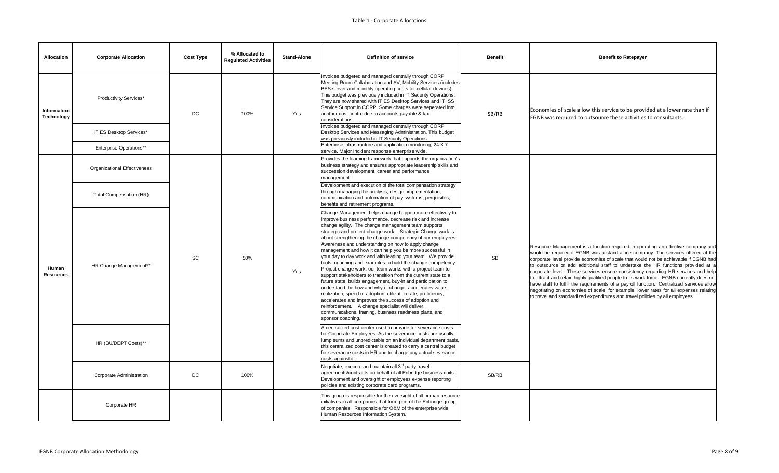| <b>Allocation</b>                | <b>Corporate Allocation</b>         | <b>Cost Type</b> | % Allocated to<br><b>Regulated Activities</b> | <b>Stand-Alone</b> | <b>Definition of service</b>                                                                                                                                                                                                                                                                                                                                                                                                                                                                                                                                                                                                                                                                                                                                                                                                                                                                                                                                                                                                                                                         | <b>Benefit</b> | <b>Benefit to Ratepayer</b>                                                                                                                                                                                                                                                                                                                                                                                                                                                                                                |
|----------------------------------|-------------------------------------|------------------|-----------------------------------------------|--------------------|--------------------------------------------------------------------------------------------------------------------------------------------------------------------------------------------------------------------------------------------------------------------------------------------------------------------------------------------------------------------------------------------------------------------------------------------------------------------------------------------------------------------------------------------------------------------------------------------------------------------------------------------------------------------------------------------------------------------------------------------------------------------------------------------------------------------------------------------------------------------------------------------------------------------------------------------------------------------------------------------------------------------------------------------------------------------------------------|----------------|----------------------------------------------------------------------------------------------------------------------------------------------------------------------------------------------------------------------------------------------------------------------------------------------------------------------------------------------------------------------------------------------------------------------------------------------------------------------------------------------------------------------------|
| Information<br><b>Technology</b> | <b>Productivity Services*</b>       | DC               | 100%                                          | Yes                | Invoices budgeted and managed centrally through CORP<br>Meeting Room Collaboration and AV, Mobility Services (includes<br>BES server and monthly operating costs for cellular devices).<br>This budget was previously included in IT Security Operations.<br>They are now shared with IT ES Desktop Services and IT ISS<br>Service Support in CORP. Some charges were seperated into<br>another cost centre due to accounts payable & tax<br>considerations.                                                                                                                                                                                                                                                                                                                                                                                                                                                                                                                                                                                                                         | SB/RB          | Economies of scale allow this service to be provi<br>EGNB was required to outsource these activities                                                                                                                                                                                                                                                                                                                                                                                                                       |
|                                  | IT ES Desktop Services*             |                  |                                               |                    | Invoices budgeted and managed centrally through CORP<br>Desktop Services and Messaging Administration. This budget<br>was previously included in IT Security Operations.                                                                                                                                                                                                                                                                                                                                                                                                                                                                                                                                                                                                                                                                                                                                                                                                                                                                                                             |                |                                                                                                                                                                                                                                                                                                                                                                                                                                                                                                                            |
|                                  | <b>Enterprise Operations**</b>      |                  |                                               |                    | Enterprise infrastructure and application monitoring, 24 X 7<br>service. Major Incident response enterprise wide.                                                                                                                                                                                                                                                                                                                                                                                                                                                                                                                                                                                                                                                                                                                                                                                                                                                                                                                                                                    |                |                                                                                                                                                                                                                                                                                                                                                                                                                                                                                                                            |
| Human<br><b>Resources</b>        | <b>Organizational Effectiveness</b> | SC<br>DC         |                                               | Yes                | Provides the learning framework that supports the organization's<br>business strategy and ensures appropriate leadership skills and<br>succession development, career and performance<br>management.                                                                                                                                                                                                                                                                                                                                                                                                                                                                                                                                                                                                                                                                                                                                                                                                                                                                                 | SB             | Resource Management is a function required in oper<br>would be required if EGNB was a stand-alone compa<br>corporate level provide economies of scale that would<br>to outsource or add additional staff to undertake tl<br>corporate level. These services ensure consistency<br>to attract and retain highly qualified people to its work<br>have staff to fulfill the requirements of a payroll func<br>negotiating on economies of scale, for example, lowe<br>to travel and standardized expenditures and travel poli |
|                                  | <b>Total Compensation (HR)</b>      |                  | 50%                                           |                    | Development and execution of the total compensation strategy<br>through managing the analysis, design, implementation,<br>communication and automation of pay systems, perquisites,<br>benefits and retirement programs.                                                                                                                                                                                                                                                                                                                                                                                                                                                                                                                                                                                                                                                                                                                                                                                                                                                             |                |                                                                                                                                                                                                                                                                                                                                                                                                                                                                                                                            |
|                                  | HR Change Management**              |                  |                                               |                    | Change Management helps change happen more effectively to<br>improve business performance, decrease risk and increase<br>change agility. The change management team supports<br>strategic and project change work. Strategic Change work is<br>about strengthening the change competency of our employees.<br>Awareness and understanding on how to apply change<br>management and how it can help you be more successful in<br>your day to day work and with leading your team. We provide<br>tools, coaching and examples to build the change competency.<br>Project change work, our team works with a project team to<br>support stakeholders to transition from the current state to a<br>future state, builds engagement, buy-in and participation to<br>understand the how and why of change, accelerates value<br>realization, speed of adoption, utilization rate, proficiency,<br>accelerates and improves the success of adoption and<br>reinforcement. A change specialist will deliver,<br>communications, training, business readiness plans, and<br>sponsor coaching. |                |                                                                                                                                                                                                                                                                                                                                                                                                                                                                                                                            |
|                                  | HR (BU/DEPT Costs)**                |                  |                                               |                    | A centralized cost center used to provide for severance costs<br>for Corporate Employees. As the severance costs are usually<br>lump sums and unpredictable on an individual department basis,<br>this centralized cost center is created to carry a central budget<br>for severance costs in HR and to charge any actual severance<br>costs against it.                                                                                                                                                                                                                                                                                                                                                                                                                                                                                                                                                                                                                                                                                                                             |                |                                                                                                                                                                                                                                                                                                                                                                                                                                                                                                                            |
|                                  | Corporate Administration            |                  | 100%                                          |                    | Negotiate, execute and maintain all 3 <sup>rd</sup> party travel<br>agreements/contracts on behalf of all Enbridge business units.<br>Development and oversight of employees expense reporting<br>policies and existing corporate card programs.                                                                                                                                                                                                                                                                                                                                                                                                                                                                                                                                                                                                                                                                                                                                                                                                                                     | SB/RB          |                                                                                                                                                                                                                                                                                                                                                                                                                                                                                                                            |
|                                  | Corporate HR                        |                  |                                               |                    | This group is responsible for the oversight of all human resource<br>initiatives in all companies that form part of the Enbridge group<br>of companies. Responsible for O&M of the enterprise wide<br>Human Resources Information System.                                                                                                                                                                                                                                                                                                                                                                                                                                                                                                                                                                                                                                                                                                                                                                                                                                            |                |                                                                                                                                                                                                                                                                                                                                                                                                                                                                                                                            |

| <b>Benefit</b> | <b>Benefit to Ratepayer</b>                                                                                                                                                                                                                                                                                                                                                                                                                                                                                                                                                                                                                                                                                                                                                                            |
|----------------|--------------------------------------------------------------------------------------------------------------------------------------------------------------------------------------------------------------------------------------------------------------------------------------------------------------------------------------------------------------------------------------------------------------------------------------------------------------------------------------------------------------------------------------------------------------------------------------------------------------------------------------------------------------------------------------------------------------------------------------------------------------------------------------------------------|
| SB/RB          | Economies of scale allow this service to be provided at a lower rate than if<br>EGNB was required to outsource these activities to consultants.                                                                                                                                                                                                                                                                                                                                                                                                                                                                                                                                                                                                                                                        |
| <b>SB</b>      | Resource Management is a function required in operating an effective company and<br>would be required if EGNB was a stand-alone company. The services offered at the<br>corporate level provide economies of scale that would not be achievable if EGNB had<br>to outsource or add additional staff to undertake the HR functions provided at a<br>corporate level. These services ensure consistency regarding HR services and help<br>to attract and retain highly qualified people to its work force. EGNB currently does not<br>have staff to fulfill the requirements of a payroll function. Centralized services allow<br>negotiating on economies of scale, for example, lower rates for all expenses relating<br>to travel and standardized expenditures and travel policies by all employees. |
| SB/RB          |                                                                                                                                                                                                                                                                                                                                                                                                                                                                                                                                                                                                                                                                                                                                                                                                        |
|                |                                                                                                                                                                                                                                                                                                                                                                                                                                                                                                                                                                                                                                                                                                                                                                                                        |